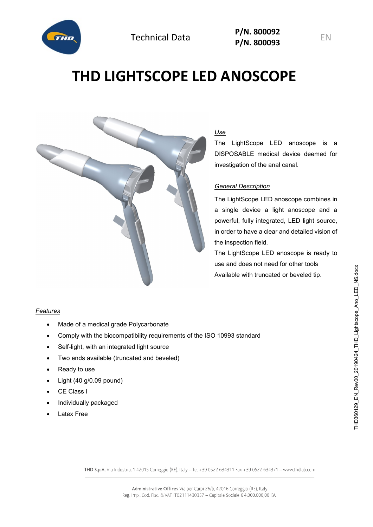

Technical Data **P/N. <sup>800092</sup> P/N. 800093** EN

# **THD LIGHTSCOPE LED ANOSCOPE**



# *Use*

The LightScope LED anoscope is a DISPOSABLE medical device deemed for investigation of the anal canal.

#### *General Description*

The LightScope LED anoscope combines in a single device a light anoscope and a powerful, fully integrated, LED light source, in order to have a clear and detailed vision of the inspection field.

The LightScope LED anoscope is ready to use and does not need for other tools Available with truncated or beveled tip.

### *Features*

- Made of a medical grade Polycarbonate
- Comply with the biocompatibility requirements of the ISO 10993 standard
- Self-light, with an integrated light source
- Two ends available (truncated and beveled)
- Ready to use
- Light (40 g/0.09 pound)
- CE Class I
- Individually packaged
- **Latex Free**

THD S.p.A. Via Industria, 1 42015 Correggio (RE), Italy - Tel +39 0522 634311 Fax +39 0522 634371 - www.thdlab.com